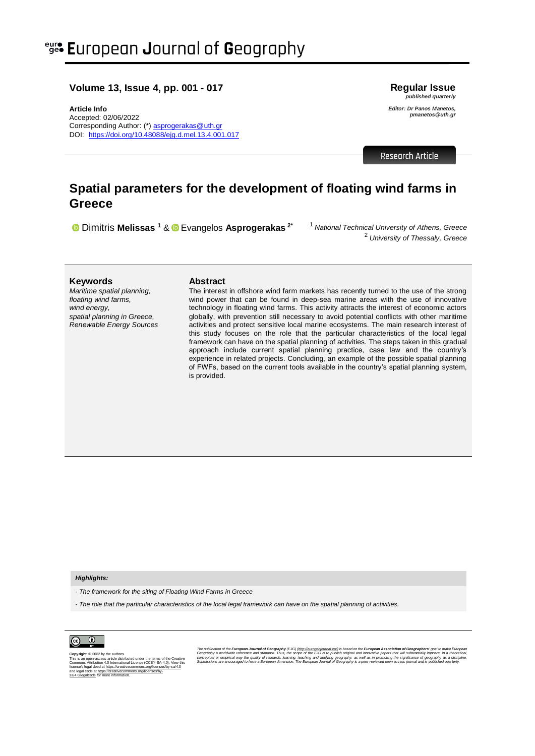### **Volume 13, Issue 4, pp. 001 - 017**

**Article Info**

Accepted: 02/06/2022 Corresponding Author: (\*) [asprogerakas@uth.gr](mailto:asprogerakas@uth.gr) DOI: <https://doi.org/10.48088/ejg.d.mel.13.4.001.017> **Regular Issue**  *published quarterly*

*Editor: Dr Panos Manetos, pmanetos@uth.gr*

**Research Article** 

# **Spatial parameters for the development of floating wind farms in Greece**

**<sup>1</sup>** Dimitris Melissas<sup>1</sup> & **D** Evangelos Asprogerakas<sup>2\*</sup> <sup>1</sup> National Technical University of Athens, Greece

<sup>2</sup>*University of Thessaly, Greece*

#### **Keywords**

*Maritime spatial planning, floating wind farms, wind energy, spatial planning in Greece, Renewable Energy Sources*

#### **Abstract**

The interest in offshore wind farm markets has recently turned to the use of the strong wind power that can be found in deep-sea marine areas with the use of innovative technology in floating wind farms. This activity attracts the interest of economic actors globally, with prevention still necessary to avoid potential conflicts with other maritime activities and protect sensitive local marine ecosystems. The main research interest of this study focuses on the role that the particular characteristics of the local legal framework can have on the spatial planning of activities. The steps taken in this gradual approach include current spatial planning practice, case law and the country's experience in related projects. Concluding, an example of the possible spatial planning of FWFs, based on the current tools available in the country's spatial planning system, is provided.

#### *Highlights:*

*- The framework for the siting of Floating Wind Farms in Greece*

*- The role that the particular characteristics of the local legal framework can have on the spatial planning of activities.* 



**Copyright**: © 2022 by the authors. This is an open-access article distributed under the terms of the Creative Commons Attribution 4.0 International License (CCBY-SA-4.0). View this license's legal deed a[t https://creativecommons.org/licenses/by-sa/4.0](https://creativecommons.org/licenses/by-sa/4.0) and legal code a[t https://creativecommons.org/licenses/by](https://creativecommons.org/licenses/by-sa/4.0/legalcode)[sa/4.0/legalcode](https://creativecommons.org/licenses/by-sa/4.0/legalcode) for more information.

The publication of the **European Journal of Geography** (EJG) <u>(http://w.rogogolo</u>urnal.edu/marketing one of the exposered property of the exposered property and the exposered property and the exposered property of the expo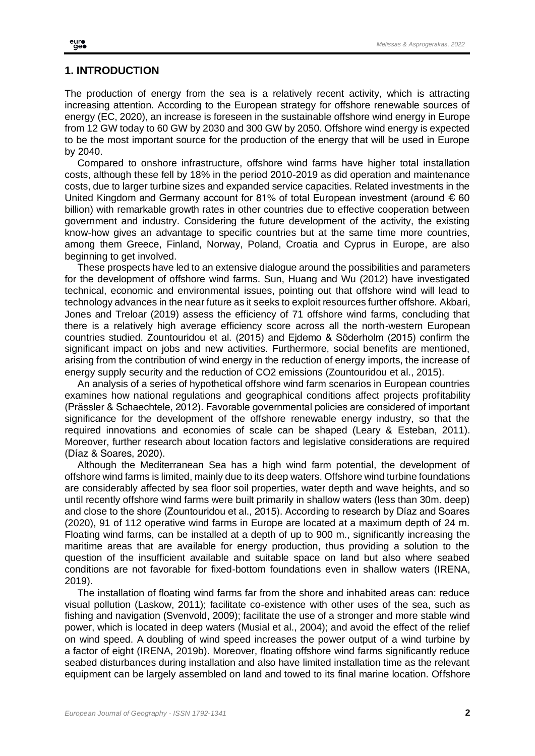#### **1. INTRODUCTION**

The production of energy from the sea is a relatively recent activity, which is attracting increasing attention. According to the European strategy for offshore renewable sources of energy (EC, 2020), an increase is foreseen in the sustainable offshore wind energy in Europe from 12 GW today to 60 GW by 2030 and 300 GW by 2050. Offshore wind energy is expected to be the most important source for the production of the energy that will be used in Europe by 2040.

Compared to onshore infrastructure, offshore wind farms have higher total installation costs, although these fell by 18% in the period 2010-2019 as did operation and maintenance costs, due to larger turbine sizes and expanded service capacities. Related investments in the United Kingdom and Germany account for 81% of total European investment (around  $\epsilon$  60 billion) with remarkable growth rates in other countries due to effective cooperation between government and industry. Considering the future development of the activity, the existing know-how gives an advantage to specific countries but at the same time more countries, among them Greece, Finland, Norway, Poland, Croatia and Cyprus in Europe, are also beginning to get involved.

These prospects have led to an extensive dialogue around the possibilities and parameters for the development of offshore wind farms. Sun, Huang and Wu (2012) have investigated technical, economic and environmental issues, pointing out that offshore wind will lead to technology advances in the near future as it seeks to exploit resources further offshore. Akbari, Jones and Treloar (2019) assess the efficiency of 71 offshore wind farms, concluding that there is a relatively high average efficiency score across all the north-western European countries studied. Zountouridou et al. (2015) and Ejdemo & Söderholm (2015) confirm the significant impact on jobs and new activities. Furthermore, social benefits are mentioned, arising from the contribution of wind energy in the reduction of energy imports, the increase of energy supply security and the reduction of CO2 emissions (Zountouridou et al., 2015).

An analysis of a series of hypothetical offshore wind farm scenarios in European countries examines how national regulations and geographical conditions affect projects profitability (Prässler & Schaechtele, 2012). Favorable governmental policies are considered of important significance for the development of the offshore renewable energy industry, so that the required innovations and economies of scale can be shaped (Leary & Esteban, 2011). Moreover, further research about location factors and legislative considerations are required (Díaz & Soares, 2020).

Although the Mediterranean Sea has a high wind farm potential, the development of offshore wind farms is limited, mainly due to its deep waters. Offshore wind turbine foundations are considerably affected by sea floor soil properties, water depth and wave heights, and so until recently offshore wind farms were built primarily in shallow waters (less than 30m. deep) and close to the shore (Zountouridou et al., 2015). According to research by Díaz and Soares (2020), 91 of 112 operative wind farms in Europe are located at a maximum depth of 24 m. Floating wind farms, can be installed at a depth of up to 900 m., significantly increasing the maritime areas that are available for energy production, thus providing a solution to the question of the insufficient available and suitable space on land but also where seabed conditions are not favorable for fixed-bottom foundations even in shallow waters (IRENA, 2019).

The installation of floating wind farms far from the shore and inhabited areas can: reduce visual pollution (Laskow, 2011); facilitate co-existence with other uses of the sea, such as fishing and navigation (Svenvold, 2009); facilitate the use of a stronger and more stable wind power, which is located in deep waters (Musial et al., 2004); and avoid the effect of the relief on wind speed. A doubling of wind speed increases the power output of a wind turbine by a factor of eight (IRENA, 2019b). Moreover, floating offshore wind farms significantly reduce seabed disturbances during installation and also have limited installation time as the relevant equipment can be largely assembled on land and towed to its final marine location. Offshore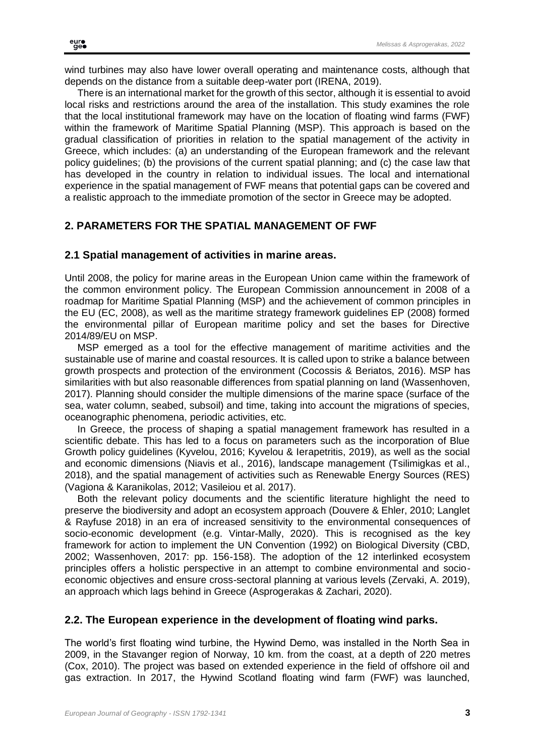wind turbines may also have lower overall operating and maintenance costs, although that depends on the distance from a suitable deep-water port (IRENA, 2019).

There is an international market for the growth of this sector, although it is essential to avoid local risks and restrictions around the area of the installation. This study examines the role that the local institutional framework may have on the location of floating wind farms (FWF) within the framework of Maritime Spatial Planning (MSP). This approach is based on the gradual classification of priorities in relation to the spatial management of the activity in Greece, which includes: (a) an understanding of the European framework and the relevant policy guidelines; (b) the provisions of the current spatial planning; and (c) the case law that has developed in the country in relation to individual issues. The local and international experience in the spatial management of FWF means that potential gaps can be covered and a realistic approach to the immediate promotion of the sector in Greece may be adopted.

# **2. PARAMETERS FOR THE SPATIAL MANAGEMENT OF FWF**

## **2.1 Spatial management of activities in marine areas.**

Until 2008, the policy for marine areas in the European Union came within the framework of the common environment policy. The European Commission announcement in 2008 of a roadmap for Maritime Spatial Planning (MSP) and the achievement of common principles in the EU (EC, 2008), as well as the maritime strategy framework guidelines EP (2008) formed the environmental pillar of European maritime policy and set the bases for Directive 2014/89/EU on MSP.

MSP emerged as a tool for the effective management of maritime activities and the sustainable use of marine and coastal resources. It is called upon to strike a balance between growth prospects and protection of the environment (Cocossis & Beriatos, 2016). MSP has similarities with but also reasonable differences from spatial planning on land (Wassenhoven, 2017). Planning should consider the multiple dimensions of the marine space (surface of the sea, water column, seabed, subsoil) and time, taking into account the migrations of species, oceanographic phenomena, periodic activities, etc.

In Greece, the process of shaping a spatial management framework has resulted in a scientific debate. This has led to a focus on parameters such as the incorporation of Blue Growth policy guidelines (Kyvelou, 2016; Kyvelou & Ierapetritis, 2019), as well as the social and economic dimensions (Niavis et al., 2016), landscape management (Tsilimigkas et al., 2018), and the spatial management of activities such as Renewable Energy Sources (RES) (Vagiona & Karanikolas, 2012; Vasileiou et al. 2017).

Both the relevant policy documents and the scientific literature highlight the need to preserve the biodiversity and adopt an ecosystem approach (Douvere & Ehler, 2010; Langlet & Rayfuse 2018) in an era of increased sensitivity to the environmental consequences of socio-economic development (e.g. Vintar-Mally, 2020). This is recognised as the key framework for action to implement the UN Convention (1992) on Biological Diversity (CBD, 2002; Wassenhoven, 2017: pp. 156-158). The adoption of the 12 interlinked ecosystem principles offers a holistic perspective in an attempt to combine environmental and socioeconomic objectives and ensure cross-sectoral planning at various levels (Zervaki, A. 2019), an approach which lags behind in Greece (Asprogerakas & Zachari, 2020).

## **2.2. The European experience in the development of floating wind parks.**

The world's first floating wind turbine, the Hywind Demo, was installed in the North Sea in 2009, in the Stavanger region of Norway, 10 km. from the coast, at a depth of 220 metres (Cox, 2010). The project was based on extended experience in the field of offshore oil and gas extraction. In 2017, the Hywind Scotland floating wind farm (FWF) was launched,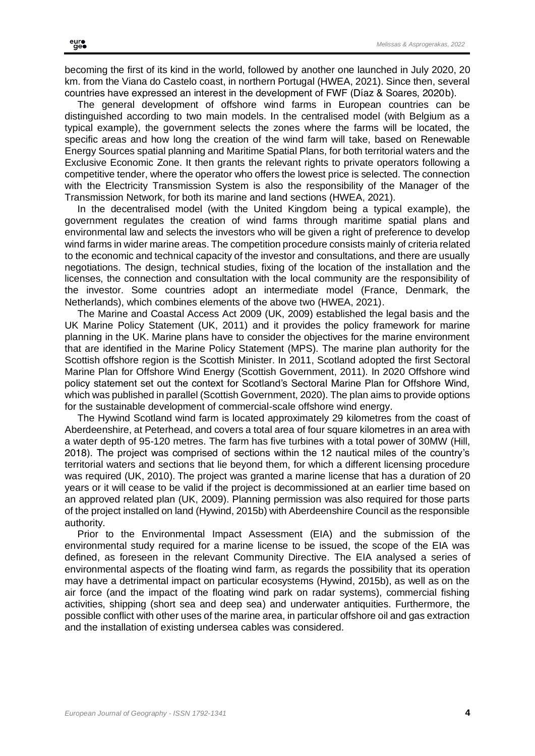becoming the first of its kind in the world, followed by another one launched in July 2020, 20 km. from the Viana do Castelo coast, in northern Portugal (HWEA, 2021). Since then, several countries have expressed an interest in the development of FWF (Díaz & Soares, 2020b).

The general development of offshore wind farms in European countries can be distinguished according to two main models. In the centralised model (with Belgium as a typical example), the government selects the zones where the farms will be located, the specific areas and how long the creation of the wind farm will take, based on Renewable Energy Sources spatial planning and Maritime Spatial Plans, for both territorial waters and the Exclusive Economic Zone. It then grants the relevant rights to private operators following a competitive tender, where the operator who offers the lowest price is selected. The connection with the Electricity Transmission System is also the responsibility of the Manager of the Transmission Network, for both its marine and land sections (HWEA, 2021).

In the decentralised model (with the United Kingdom being a typical example), the government regulates the creation of wind farms through maritime spatial plans and environmental law and selects the investors who will be given a right of preference to develop wind farms in wider marine areas. The competition procedure consists mainly of criteria related to the economic and technical capacity of the investor and consultations, and there are usually negotiations. The design, technical studies, fixing of the location of the installation and the licenses, the connection and consultation with the local community are the responsibility of the investor. Some countries adopt an intermediate model (France, Denmark, the Netherlands), which combines elements of the above two (HWEA, 2021).

The Marine and Coastal Access Act 2009 (UK, 2009) established the legal basis and the UK Marine Policy Statement (UK, 2011) and it provides the policy framework for marine planning in the UK. Marine plans have to consider the objectives for the marine environment that are identified in the Marine Policy Statement (MPS). The marine plan authority for the Scottish offshore region is the Scottish Minister. In 2011, Scotland adopted the first Sectoral Marine Plan for Offshore Wind Energy (Scottish Government, 2011). In 2020 Offshore wind policy statement set out the context for Scotland's Sectoral Marine Plan for Offshore Wind, which was published in parallel (Scottish Government, 2020). The plan aims to provide options for the sustainable development of commercial-scale offshore wind energy.

The Hywind Scotland wind farm is located approximately 29 kilometres from the coast of Aberdeenshire, at Peterhead, and covers a total area of four square kilometres in an area with a water depth of 95-120 metres. The farm has five turbines with a total power of 30MW (Hill, 2018). The project was comprised of sections within the 12 nautical miles of the country's territorial waters and sections that lie beyond them, for which a different licensing procedure was required (UK, 2010). The project was granted a marine license that has a duration of 20 years or it will cease to be valid if the project is decommissioned at an earlier time based on an approved related plan (UK, 2009). Planning permission was also required for those parts of the project installed on land (Hywind, 2015b) with Aberdeenshire Council as the responsible authority.

Prior to the Environmental Impact Assessment (EIA) and the submission of the environmental study required for a marine license to be issued, the scope of the EIA was defined, as foreseen in the relevant Community Directive. The EIA analysed a series of environmental aspects of the floating wind farm, as regards the possibility that its operation may have a detrimental impact on particular ecosystems (Hywind, 2015b), as well as on the air force (and the impact of the floating wind park on radar systems), commercial fishing activities, shipping (short sea and deep sea) and underwater antiquities. Furthermore, the possible conflict with other uses of the marine area, in particular offshore oil and gas extraction and the installation of existing undersea cables was considered.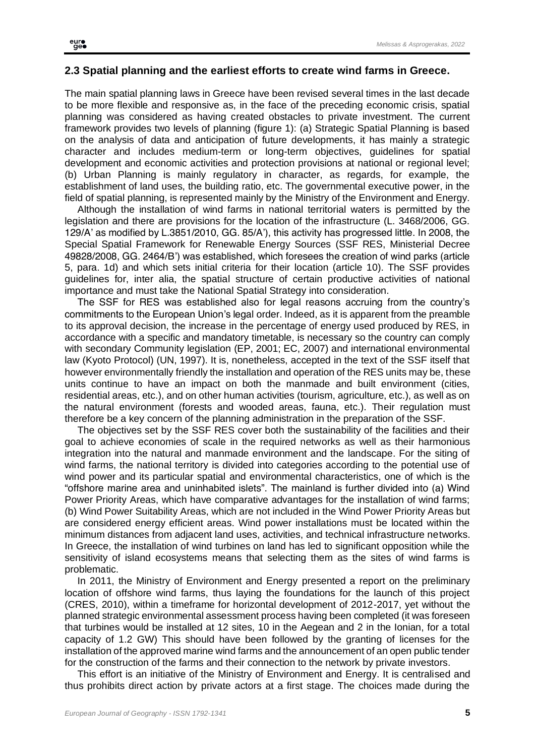### **2.3 Spatial planning and the earliest efforts to create wind farms in Greece.**

The main spatial planning laws in Greece have been revised several times in the last decade to be more flexible and responsive as, in the face of the preceding economic crisis, spatial planning was considered as having created obstacles to private investment. The current framework provides two levels of planning (figure 1): (a) Strategic Spatial Planning is based on the analysis of data and anticipation of future developments, it has mainly a strategic character and includes medium-term or long-term objectives, guidelines for spatial development and economic activities and protection provisions at national or regional level; (b) Urban Planning is mainly regulatory in character, as regards, for example, the establishment of land uses, the building ratio, etc. The governmental executive power, in the field of spatial planning, is represented mainly by the Ministry of the Environment and Energy.

Although the installation of wind farms in national territorial waters is permitted by the legislation and there are provisions for the location of the infrastructure (L. 3468/2006, GG. 129/A' as modified by L.3851/2010, GG. 85/A'), this activity has progressed little. In 2008, the Special Spatial Framework for Renewable Energy Sources (SSF RES, Ministerial Decree 49828/2008, GG. 2464/Β') was established, which foresees the creation of wind parks (article 5, para. 1d) and which sets initial criteria for their location (article 10). The SSF provides guidelines for, inter alia, the spatial structure of certain productive activities of national importance and must take the National Spatial Strategy into consideration.

The SSF for RES was established also for legal reasons accruing from the country's commitments to the European Union's legal order. Indeed, as it is apparent from the preamble to its approval decision, the increase in the percentage of energy used produced by RES, in accordance with a specific and mandatory timetable, is necessary so the country can comply with secondary Community legislation (EP, 2001; EC, 2007) and international environmental law (Kyoto Protocol) (UN, 1997). It is, nonetheless, accepted in the text of the SSF itself that however environmentally friendly the installation and operation of the RES units may be, these units continue to have an impact on both the manmade and built environment (cities, residential areas, etc.), and on other human activities (tourism, agriculture, etc.), as well as on the natural environment (forests and wooded areas, fauna, etc.). Their regulation must therefore be a key concern of the planning administration in the preparation of the SSF.

The objectives set by the SSF RES cover both the sustainability of the facilities and their goal to achieve economies of scale in the required networks as well as their harmonious integration into the natural and manmade environment and the landscape. For the siting of wind farms, the national territory is divided into categories according to the potential use of wind power and its particular spatial and environmental characteristics, one of which is the "offshore marine area and uninhabited islets". The mainland is further divided into (a) Wind Power Priority Areas, which have comparative advantages for the installation of wind farms; (b) Wind Power Suitability Areas, which are not included in the Wind Power Priority Areas but are considered energy efficient areas. Wind power installations must be located within the minimum distances from adjacent land uses, activities, and technical infrastructure networks. In Greece, the installation of wind turbines on land has led to significant opposition while the sensitivity of island ecosystems means that selecting them as the sites of wind farms is problematic.

In 2011, the Ministry of Environment and Energy presented a report on the preliminary location of offshore wind farms, thus laying the foundations for the launch of this project (CRES, 2010), within a timeframe for horizontal development of 2012-2017, yet without the planned strategic environmental assessment process having been completed (it was foreseen that turbines would be installed at 12 sites, 10 in the Aegean and 2 in the Ionian, for a total capacity of 1.2 GW) This should have been followed by the granting of licenses for the installation of the approved marine wind farms and the announcement of an open public tender for the construction of the farms and their connection to the network by private investors.

This effort is an initiative of the Ministry of Environment and Energy. It is centralised and thus prohibits direct action by private actors at a first stage. The choices made during the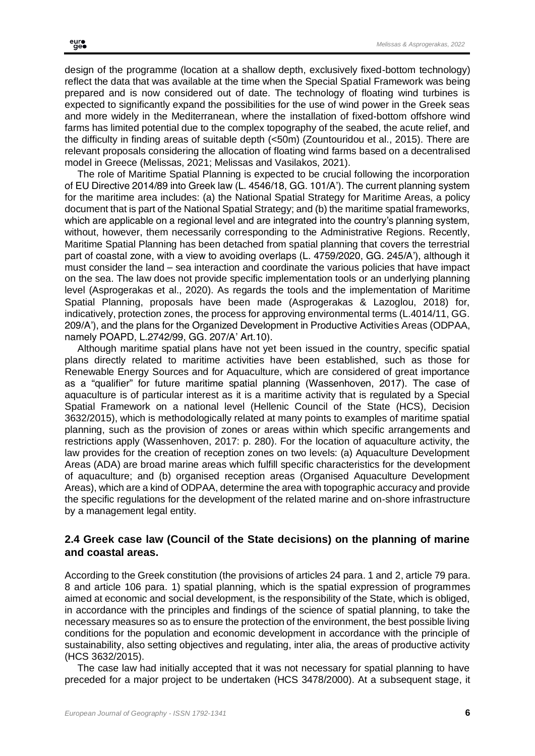design of the programme (location at a shallow depth, exclusively fixed-bottom technology) reflect the data that was available at the time when the Special Spatial Framework was being prepared and is now considered out of date. The technology of floating wind turbines is expected to significantly expand the possibilities for the use of wind power in the Greek seas and more widely in the Mediterranean, where the installation of fixed-bottom offshore wind farms has limited potential due to the complex topography of the seabed, the acute relief, and the difficulty in finding areas of suitable depth (<50m) (Zountouridou et al., 2015). There are relevant proposals considering the allocation of floating wind farms based on a decentralised model in Greece (Melissas, 2021; Melissas and Vasilakos, 2021).

The role of Maritime Spatial Planning is expected to be crucial following the incorporation of EU Directive 2014/89 into Greek law (L. 4546/18, GG. 101/A'). The current planning system for the maritime area includes: (a) the National Spatial Strategy for Maritime Areas, a policy document that is part of the National Spatial Strategy; and (b) the maritime spatial frameworks, which are applicable on a regional level and are integrated into the country's planning system, without, however, them necessarily corresponding to the Administrative Regions. Recently, Maritime Spatial Planning has been detached from spatial planning that covers the terrestrial part of coastal zone, with a view to avoiding overlaps (L. 4759/2020, GG. 245/A'), although it must consider the land – sea interaction and coordinate the various policies that have impact on the sea. The law does not provide specific implementation tools or an underlying planning level (Asprogerakas et al., 2020). As regards the tools and the implementation of Maritime Spatial Planning, proposals have been made (Asprogerakas & Lazoglou, 2018) for, indicatively, protection zones, the process for approving environmental terms (L.4014/11, GG. 209/A'), and the plans for the Organized Development in Productive Activities Areas (ODPAA, namely POAPD, L.2742/99, GG. 207/A' Art.10).

Although maritime spatial plans have not yet been issued in the country, specific spatial plans directly related to maritime activities have been established, such as those for Renewable Energy Sources and for Aquaculture, which are considered of great importance as a "qualifier" for future maritime spatial planning (Wassenhoven, 2017). The case of aquaculture is of particular interest as it is a maritime activity that is regulated by a Special Spatial Framework on a national level (Hellenic Council of the State (HCS), Decision 3632/2015), which is methodologically related at many points to examples of maritime spatial planning, such as the provision of zones or areas within which specific arrangements and restrictions apply (Wassenhoven, 2017: p. 280). For the location of aquaculture activity, the law provides for the creation of reception zones on two levels: (a) Aquaculture Development Areas (ADA) are broad marine areas which fulfill specific characteristics for the development of aquaculture; and (b) organised reception areas (Organised Aquaculture Development Areas), which are a kind of ODPAA, determine the area with topographic accuracy and provide the specific regulations for the development of the related marine and on-shore infrastructure by a management legal entity.

## **2.4 Greek case law (Council of the State decisions) on the planning of marine and coastal areas.**

According to the Greek constitution (the provisions of articles 24 para. 1 and 2, article 79 para. 8 and article 106 para. 1) spatial planning, which is the spatial expression of programmes aimed at economic and social development, is the responsibility of the State, which is obliged, in accordance with the principles and findings of the science of spatial planning, to take the necessary measures so as to ensure the protection of the environment, the best possible living conditions for the population and economic development in accordance with the principle of sustainability, also setting objectives and regulating, inter alia, the areas of productive activity (HCS 3632/2015).

The case law had initially accepted that it was not necessary for spatial planning to have preceded for a major project to be undertaken (HCS 3478/2000). At a subsequent stage, it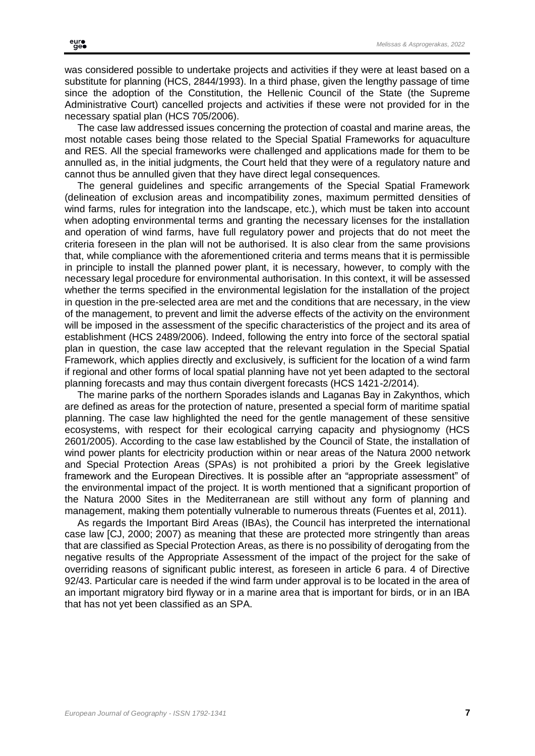was considered possible to undertake projects and activities if they were at least based on a substitute for planning (HCS, 2844/1993). In a third phase, given the lengthy passage of time since the adoption of the Constitution, the Hellenic Council of the State (the Supreme Administrative Court) cancelled projects and activities if these were not provided for in the necessary spatial plan (HCS 705/2006).

The case law addressed issues concerning the protection of coastal and marine areas, the most notable cases being those related to the Special Spatial Frameworks for aquaculture and RES. All the special frameworks were challenged and applications made for them to be annulled as, in the initial judgments, the Court held that they were of a regulatory nature and cannot thus be annulled given that they have direct legal consequences.

The general guidelines and specific arrangements of the Special Spatial Framework (delineation of exclusion areas and incompatibility zones, maximum permitted densities of wind farms, rules for integration into the landscape, etc.), which must be taken into account when adopting environmental terms and granting the necessary licenses for the installation and operation of wind farms, have full regulatory power and projects that do not meet the criteria foreseen in the plan will not be authorised. It is also clear from the same provisions that, while compliance with the aforementioned criteria and terms means that it is permissible in principle to install the planned power plant, it is necessary, however, to comply with the necessary legal procedure for environmental authorisation. In this context, it will be assessed whether the terms specified in the environmental legislation for the installation of the project in question in the pre-selected area are met and the conditions that are necessary, in the view of the management, to prevent and limit the adverse effects of the activity on the environment will be imposed in the assessment of the specific characteristics of the project and its area of establishment (HCS 2489/2006). Indeed, following the entry into force of the sectoral spatial plan in question, the case law accepted that the relevant regulation in the Special Spatial Framework, which applies directly and exclusively, is sufficient for the location of a wind farm if regional and other forms of local spatial planning have not yet been adapted to the sectoral planning forecasts and may thus contain divergent forecasts (HCS 1421-2/2014).

The marine parks of the northern Sporades islands and Laganas Bay in Zakynthos, which are defined as areas for the protection of nature, presented a special form of maritime spatial planning. The case law highlighted the need for the gentle management of these sensitive ecosystems, with respect for their ecological carrying capacity and physiognomy (HCS 2601/2005). According to the case law established by the Council of State, the installation of wind power plants for electricity production within or near areas of the Natura 2000 network and Special Protection Areas (SPAs) is not prohibited a priori by the Greek legislative framework and the European Directives. It is possible after an "appropriate assessment" of the environmental impact of the project. It is worth mentioned that a significant proportion of the Natura 2000 Sites in the Mediterranean are still without any form of planning and management, making them potentially vulnerable to numerous threats (Fuentes et al, 2011).

As regards the Important Bird Areas (IBAs), the Council has interpreted the international case law [CJ, 2000; 2007) as meaning that these are protected more stringently than areas that are classified as Special Protection Areas, as there is no possibility of derogating from the negative results of the Appropriate Assessment of the impact of the project for the sake of overriding reasons of significant public interest, as foreseen in article 6 para. 4 of Directive 92/43. Particular care is needed if the wind farm under approval is to be located in the area of an important migratory bird flyway or in a marine area that is important for birds, or in an IBA that has not yet been classified as an SPA.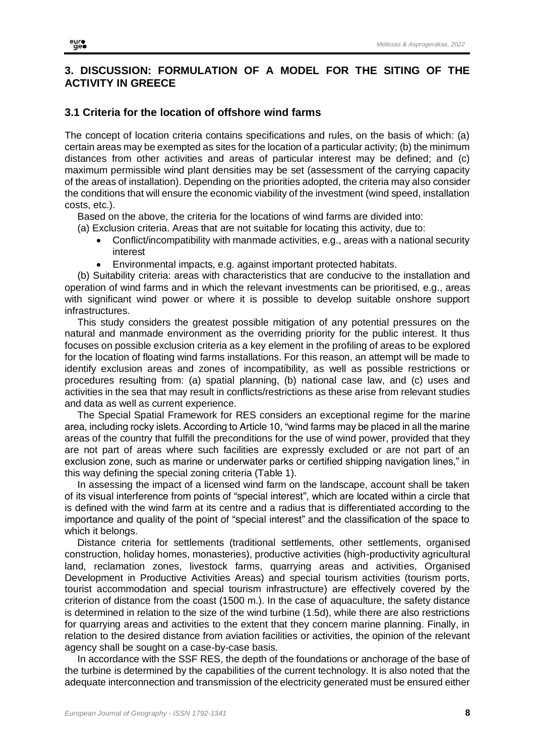# **3. DISCUSSION: FORMULATION OF A MODEL FOR THE SITING OF THE ACTIVITY IN GREECE**

# **3.1 Criteria for the location of offshore wind farms**

The concept of location criteria contains specifications and rules, on the basis of which: (a) certain areas may be exempted as sites for the location of a particular activity; (b) the minimum distances from other activities and areas of particular interest may be defined; and (c) maximum permissible wind plant densities may be set (assessment of the carrying capacity of the areas of installation). Depending on the priorities adopted, the criteria may also consider the conditions that will ensure the economic viability of the investment (wind speed, installation costs, etc.).

Based on the above, the criteria for the locations of wind farms are divided into:

- (a) Exclusion criteria. Areas that are not suitable for locating this activity, due to:
	- Conflict/incompatibility with manmade activities, e.g., areas with a national security interest
	- Environmental impacts, e.g. against important protected habitats.

(b) Suitability criteria: areas with characteristics that are conducive to the installation and operation of wind farms and in which the relevant investments can be prioritised, e.g., areas with significant wind power or where it is possible to develop suitable onshore support infrastructures.

This study considers the greatest possible mitigation of any potential pressures on the natural and manmade environment as the overriding priority for the public interest. It thus focuses on possible exclusion criteria as a key element in the profiling of areas to be explored for the location of floating wind farms installations. For this reason, an attempt will be made to identify exclusion areas and zones of incompatibility, as well as possible restrictions or procedures resulting from: (a) spatial planning, (b) national case law, and (c) uses and activities in the sea that may result in conflicts/restrictions as these arise from relevant studies and data as well as current experience.

The Special Spatial Framework for RES considers an exceptional regime for the marine area, including rocky islets. According to Article 10, "wind farms may be placed in all the marine areas of the country that fulfill the preconditions for the use of wind power, provided that they are not part of areas where such facilities are expressly excluded or are not part of an exclusion zone, such as marine or underwater parks or certified shipping navigation lines," in this way defining the special zoning criteria (Table 1).

In assessing the impact of a licensed wind farm on the landscape, account shall be taken of its visual interference from points of "special interest", which are located within a circle that is defined with the wind farm at its centre and a radius that is differentiated according to the importance and quality of the point of "special interest" and the classification of the space to which it belongs.

Distance criteria for settlements (traditional settlements, other settlements, organised construction, holiday homes, monasteries), productive activities (high-productivity agricultural land, reclamation zones, livestock farms, quarrying areas and activities, Organised Development in Productive Activities Areas) and special tourism activities (tourism ports, tourist accommodation and special tourism infrastructure) are effectively covered by the criterion of distance from the coast (1500 m.). In the case of aquaculture, the safety distance is determined in relation to the size of the wind turbine (1.5d), while there are also restrictions for quarrying areas and activities to the extent that they concern marine planning. Finally, in relation to the desired distance from aviation facilities or activities, the opinion of the relevant agency shall be sought on a case-by-case basis.

In accordance with the SSF RES, the depth of the foundations or anchorage of the base of the turbine is determined by the capabilities of the current technology. It is also noted that the adequate interconnection and transmission of the electricity generated must be ensured either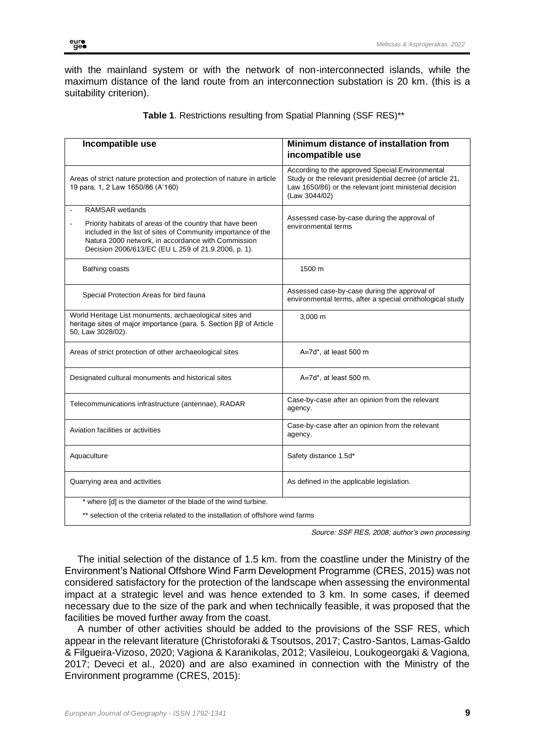with the mainland system or with the network of non-interconnected islands, while the maximum distance of the land route from an interconnection substation is 20 km. (this is a suitability criterion).

| Incompatible use                                                                                                                                                                                                                                                                        | Minimum distance of installation from<br>incompatible use                                                                                                                                |
|-----------------------------------------------------------------------------------------------------------------------------------------------------------------------------------------------------------------------------------------------------------------------------------------|------------------------------------------------------------------------------------------------------------------------------------------------------------------------------------------|
| Areas of strict nature protection and protection of nature in article<br>19 para. 1, 2 Law 1650/86 (A'160)                                                                                                                                                                              | According to the approved Special Environmental<br>Study or the relevant presidential decree (of article 21,<br>Law 1650/86) or the relevant joint ministerial decision<br>(Law 3044/02) |
| <b>RAMSAR</b> wetlands<br>÷,<br>Priority habitats of areas of the country that have been<br>$\overline{a}$<br>included in the list of sites of Community importance of the<br>Natura 2000 network, in accordance with Commission<br>Decision 2006/613/EC (EU L 259 of 21.9.2006, p. 1). | Assessed case-by-case during the approval of<br>environmental terms                                                                                                                      |
| Bathing coasts                                                                                                                                                                                                                                                                          | 1500 m                                                                                                                                                                                   |
| Special Protection Areas for bird fauna                                                                                                                                                                                                                                                 | Assessed case-by-case during the approval of<br>environmental terms, after a special ornithological study                                                                                |
| World Heritage List monuments, archaeological sites and<br>heritage sites of major importance (para. 5. Section ββ of Article<br>50, Law 3028/02).                                                                                                                                      | 3,000 m                                                                                                                                                                                  |
| Areas of strict protection of other archaeological sites                                                                                                                                                                                                                                | A=7d*, at least 500 m                                                                                                                                                                    |
| Designated cultural monuments and historical sites                                                                                                                                                                                                                                      | A=7d*, at least 500 m.                                                                                                                                                                   |
| Telecommunications infrastructure (antennae), RADAR                                                                                                                                                                                                                                     | Case-by-case after an opinion from the relevant<br>agency.                                                                                                                               |
| Aviation facilities or activities                                                                                                                                                                                                                                                       | Case-by-case after an opinion from the relevant<br>agency.                                                                                                                               |
| Aquaculture                                                                                                                                                                                                                                                                             | Safety distance 1.5d*                                                                                                                                                                    |
| Quarrying area and activities                                                                                                                                                                                                                                                           | As defined in the applicable legislation.                                                                                                                                                |
| * where [d] is the diameter of the blade of the wind turbine.                                                                                                                                                                                                                           |                                                                                                                                                                                          |
| ** selection of the criteria related to the installation of offshore wind farms                                                                                                                                                                                                         |                                                                                                                                                                                          |

*Source: SSF RES, 2008; author's own processing*

The initial selection of the distance of 1.5 km. from the coastline under the Ministry of the Environment's National Offshore Wind Farm Development Programme (CRES, 2015) was not considered satisfactory for the protection of the landscape when assessing the environmental impact at a strategic level and was hence extended to 3 km. In some cases, if deemed necessary due to the size of the park and when technically feasible, it was proposed that the facilities be moved further away from the coast.

A number of other activities should be added to the provisions of the SSF RES, which appear in the relevant literature (Christoforaki & Tsoutsos, 2017; Castro-Santos, Lamas-Galdo & Filgueira-Vizoso, 2020; Vagiona & Karanikolas, 2012; Vasileiou, Loukogeorgaki & Vagiona, 2017; Deveci et al., 2020) and are also examined in connection with the Ministry of the Environment programme (CRES, 2015):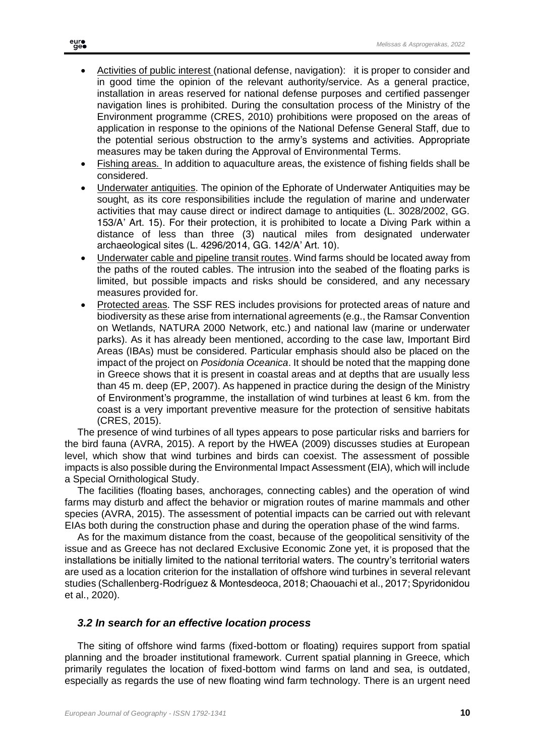- Activities of public interest (national defense, navigation): it is proper to consider and in good time the opinion of the relevant authority/service. As a general practice, installation in areas reserved for national defense purposes and certified passenger navigation lines is prohibited. During the consultation process of the Ministry of the Environment programme (CRES, 2010) prohibitions were proposed on the areas of application in response to the opinions of the National Defense General Staff, due to the potential serious obstruction to the army's systems and activities. Appropriate measures may be taken during the Approval of Environmental Terms.
- Fishing areas. In addition to aquaculture areas, the existence of fishing fields shall be considered.
- Underwater antiquities. The opinion of the Ephorate of Underwater Antiquities may be sought, as its core responsibilities include the regulation of marine and underwater activities that may cause direct or indirect damage to antiquities (L. 3028/2002, GG. 153/A' Art. 15). For their protection, it is prohibited to locate a Diving Park within a distance of less than three (3) nautical miles from designated underwater archaeological sites (L. 4296/2014, GG. 142/A' Art. 10).
- Underwater cable and pipeline transit routes. Wind farms should be located away from the paths of the routed cables. The intrusion into the seabed of the floating parks is limited, but possible impacts and risks should be considered, and any necessary measures provided for.
- Protected areas. The SSF RES includes provisions for protected areas of nature and biodiversity as these arise from international agreements (e.g., the Ramsar Convention on Wetlands, NATURA 2000 Network, etc.) and national law (marine or underwater parks). As it has already been mentioned, according to the case law, Important Bird Areas (IBAs) must be considered. Particular emphasis should also be placed on the impact of the project on *Posidonia Oceanica*. It should be noted that the mapping done in Greece shows that it is present in coastal areas and at depths that are usually less than 45 m. deep (EP, 2007). As happened in practice during the design of the Ministry of Environment's programme, the installation of wind turbines at least 6 km. from the coast is a very important preventive measure for the protection of sensitive habitats (CRES, 2015).

The presence of wind turbines of all types appears to pose particular risks and barriers for the bird fauna (AVRA, 2015). A report by the HWEA (2009) discusses studies at European level, which show that wind turbines and birds can coexist. The assessment of possible impacts is also possible during the Environmental Impact Assessment (EIA), which will include a Special Ornithological Study.

The facilities (floating bases, anchorages, connecting cables) and the operation of wind farms may disturb and affect the behavior or migration routes of marine mammals and other species (AVRA, 2015). The assessment of potential impacts can be carried out with relevant EIAs both during the construction phase and during the operation phase of the wind farms.

As for the maximum distance from the coast, because of the geopolitical sensitivity of the issue and as Greece has not declared Exclusive Economic Zone yet, it is proposed that the installations be initially limited to the national territorial waters. The country's territorial waters are used as a location criterion for the installation of offshore wind turbines in several relevant studies (Schallenberg-Rodríguez & Montesdeoca, 2018; Chaouachi et al., 2017; Spyridonidou et al., 2020).

### *3.2 In search for an effective location process*

The siting of offshore wind farms (fixed-bottom or floating) requires support from spatial planning and the broader institutional framework. Current spatial planning in Greece, which primarily regulates the location of fixed-bottom wind farms on land and sea, is outdated, especially as regards the use of new floating wind farm technology. There is an urgent need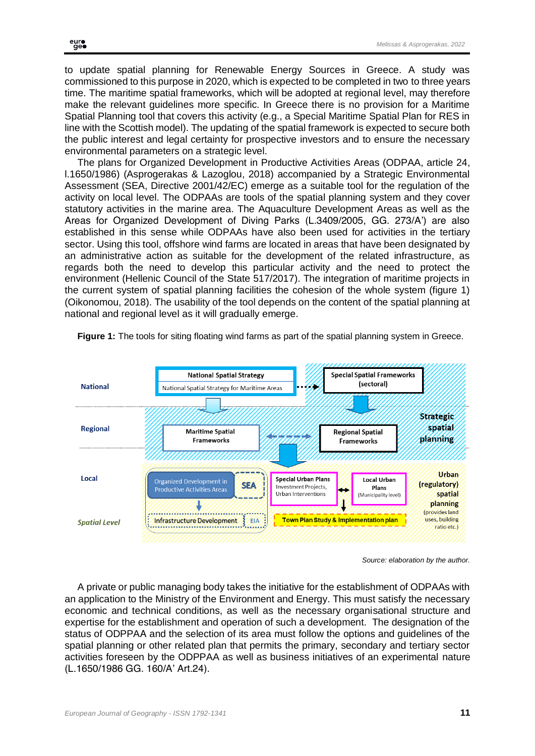to update spatial planning for Renewable Energy Sources in Greece. A study was commissioned to this purpose in 2020, which is expected to be completed in two to three years time. The maritime spatial frameworks, which will be adopted at regional level, may therefore make the relevant guidelines more specific. In Greece there is no provision for a Maritime Spatial Planning tool that covers this activity (e.g., a Special Maritime Spatial Plan for RES in line with the Scottish model). The updating of the spatial framework is expected to secure both the public interest and legal certainty for prospective investors and to ensure the necessary environmental parameters on a strategic level.

The plans for Organized Development in Productive Activities Areas (ODPAA, article 24, l.1650/1986) (Asprogerakas & Lazoglou, 2018) accompanied by a Strategic Environmental Assessment (SEA, Directive 2001/42/EC) emerge as a suitable tool for the regulation of the activity on local level. The ODPAAs are tools of the spatial planning system and they cover statutory activities in the marine area. The Aquaculture Development Areas as well as the Areas for Organized Development of Diving Parks (L.3409/2005, GG. 273/A') are also established in this sense while ODPAAs have also been used for activities in the tertiary sector. Using this tool, offshore wind farms are located in areas that have been designated by an administrative action as suitable for the development of the related infrastructure, as regards both the need to develop this particular activity and the need to protect the environment (Hellenic Council of the State 517/2017). The integration of maritime projects in the current system of spatial planning facilities the cohesion of the whole system (figure 1) (Oikonomou, 2018). Τhe usability of the tool depends on the content of the spatial planning at national and regional level as it will gradually emerge.



**Figure 1:** The tools for siting floating wind farms as part of the spatial planning system in Greece.

*Source: elaboration by the author.* 

A private or public managing body takes the initiative for the establishment of ODPAAs with an application to the Ministry of the Environment and Energy. This must satisfy the necessary economic and technical conditions, as well as the necessary organisational structure and expertise for the establishment and operation of such a development. The designation of the status of ODPPAΑ and the selection of its area must follow the options and guidelines of the spatial planning or other related plan that permits the primary, secondary and tertiary sector activities foreseen by the ODPPAA as well as business initiatives of an experimental nature (L.1650/1986 GG. 160/A' Art.24).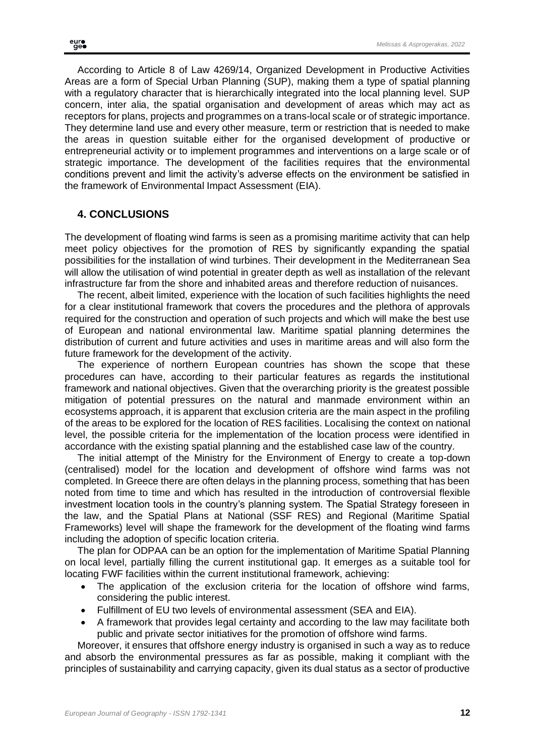According to Article 8 of Law 4269/14, Organized Development in Productive Activities Areas are a form of Special Urban Planning (SUP), making them a type of spatial planning with a regulatory character that is hierarchically integrated into the local planning level. SUP concern, inter alia, the spatial organisation and development of areas which may act as receptors for plans, projects and programmes on a trans-local scale or of strategic importance. They determine land use and every other measure, term or restriction that is needed to make the areas in question suitable either for the organised development of productive or entrepreneurial activity or to implement programmes and interventions on a large scale or of strategic importance. The development of the facilities requires that the environmental conditions prevent and limit the activity's adverse effects on the environment be satisfied in the framework of Environmental Impact Assessment (EIA).

## **4. CONCLUSIONS**

The development of floating wind farms is seen as a promising maritime activity that can help meet policy objectives for the promotion of RES by significantly expanding the spatial possibilities for the installation of wind turbines. Their development in the Mediterranean Sea will allow the utilisation of wind potential in greater depth as well as installation of the relevant infrastructure far from the shore and inhabited areas and therefore reduction of nuisances.

The recent, albeit limited, experience with the location of such facilities highlights the need for a clear institutional framework that covers the procedures and the plethora of approvals required for the construction and operation of such projects and which will make the best use of European and national environmental law. Maritime spatial planning determines the distribution of current and future activities and uses in maritime areas and will also form the future framework for the development of the activity.

The experience of northern European countries has shown the scope that these procedures can have, according to their particular features as regards the institutional framework and national objectives. Given that the overarching priority is the greatest possible mitigation of potential pressures on the natural and manmade environment within an ecosystems approach, it is apparent that exclusion criteria are the main aspect in the profiling of the areas to be explored for the location of RES facilities. Localising the context on national level, the possible criteria for the implementation of the location process were identified in accordance with the existing spatial planning and the established case law of the country.

The initial attempt of the Ministry for the Environment of Energy to create a top-down (centralised) model for the location and development of offshore wind farms was not completed. In Greece there are often delays in the planning process, something that has been noted from time to time and which has resulted in the introduction of controversial flexible investment location tools in the country's planning system. The Spatial Strategy foreseen in the law, and the Spatial Plans at National (SSF RES) and Regional (Maritime Spatial Frameworks) level will shape the framework for the development of the floating wind farms including the adoption of specific location criteria.

The plan for ODPAA can be an option for the implementation of Maritime Spatial Planning on local level, partially filling the current institutional gap. It emerges as a suitable tool for locating FWF facilities within the current institutional framework, achieving:

- The application of the exclusion criteria for the location of offshore wind farms, considering the public interest.
- Fulfillment of EU two levels of environmental assessment (SEA and EIA).
- A framework that provides legal certainty and according to the law may facilitate both public and private sector initiatives for the promotion of offshore wind farms.

Moreover, it ensures that offshore energy industry is organised in such a way as to reduce and absorb the environmental pressures as far as possible, making it compliant with the principles of sustainability and carrying capacity, given its dual status as a sector of productive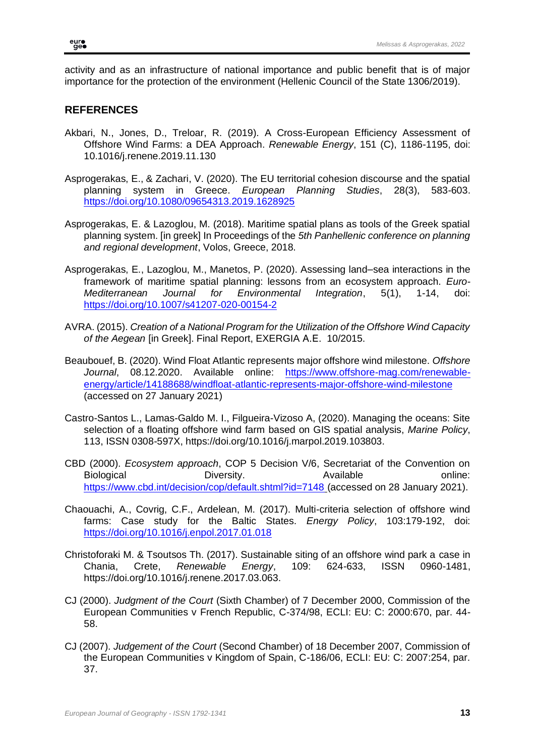activity and as an infrastructure of national importance and public benefit that is of major importance for the protection of the environment (Hellenic Council of the State 1306/2019).

## **REFERENCES**

- Akbari, N., Jones, D., Treloar, R. (2019). A Cross-European Efficiency Assessment of Offshore Wind Farms: a DEA Approach. *Renewable Energy*, 151 (C), 1186-1195, doi: 10.1016/j.renene.2019.11.130
- Asprogerakas, E., & Zachari, V. (2020). The EU territorial cohesion discourse and the spatial planning system in Greece. *European Planning Studies*, 28(3), 583-603. <https://doi.org/10.1080/09654313.2019.1628925>
- Asprogerakas, E. & Lazoglou, M. (2018). Maritime spatial plans as tools of the Greek spatial planning system. [in greek] In Proceedings of the *5th Panhellenic conference on planning and regional development*, Volos, Greece, 2018.
- Asprogerakas, E., Lazoglou, M., Manetos, P. (2020). Assessing land–sea interactions in the framework of maritime spatial planning: lessons from an ecosystem approach. *Euro-Mediterranean Journal for Environmental Integration*, 5(1), 1-14, doi: <https://doi.org/10.1007/s41207-020-00154-2>
- AVRA. (2015). *Creation of a National Program for the Utilization of the Offshore Wind Capacity of the Aegean* [in Greek]. Final Report, EXERGIA Α.Ε. 10/2015.
- Beaubouef, B. (2020). Wind Float Atlantic represents major offshore wind milestone. *Offshore Journal*, 08.12.2020. Available online: [https://www.offshore-mag.com/renewable](https://www.offshore-mag.com/renewable-energy/article/14188688/windfloat-atlantic-represents-major-offshore-wind-milestone)[energy/article/14188688/windfloat-atlantic-represents-major-offshore-wind-milestone](https://www.offshore-mag.com/renewable-energy/article/14188688/windfloat-atlantic-represents-major-offshore-wind-milestone) (accessed on 27 January 2021)
- Castro-Santos L., Lamas-Galdo M. I., Filgueira-Vizoso A, (2020). Managing the oceans: Site selection of a floating offshore wind farm based on GIS spatial analysis, *Marine Policy*, 113, ISSN 0308-597X, https://doi.org/10.1016/j.marpol.2019.103803.
- CBD (2000). *Ecosystem approach*, COP 5 Decision V/6, Secretariat of the Convention on Biological **Diversity.** Diversity. Available **online:** Online: <https://www.cbd.int/decision/cop/default.shtml?id=7148> (accessed on 28 January 2021).
- Chaouachi, A., Covrig, C.F., Ardelean, M. (2017). Multi-criteria selection of offshore wind farms: Case study for the Baltic States. *Energy Policy*, 103:179-192, doi: <https://doi.org/10.1016/j.enpol.2017.01.018>
- Christoforaki M. & Tsoutsos Th. (2017). Sustainable siting of an offshore wind park a case in Chania, Crete, *Renewable Energy*, 109: 624-633, ISSN 0960-1481, https://doi.org/10.1016/j.renene.2017.03.063.
- CJ (2000). *Judgment of the Court* (Sixth Chamber) of 7 December 2000, Commission of the European Communities v French Republic, C-374/98, ECLI: EU: C: 2000:670, par. 44- 58.
- CJ (2007). *Judgement of the Court* (Second Chamber) of 18 December 2007, Commission of the European Communities v Kingdom of Spain, C-186/06, ECLI: EU: C: 2007:254, par. 37.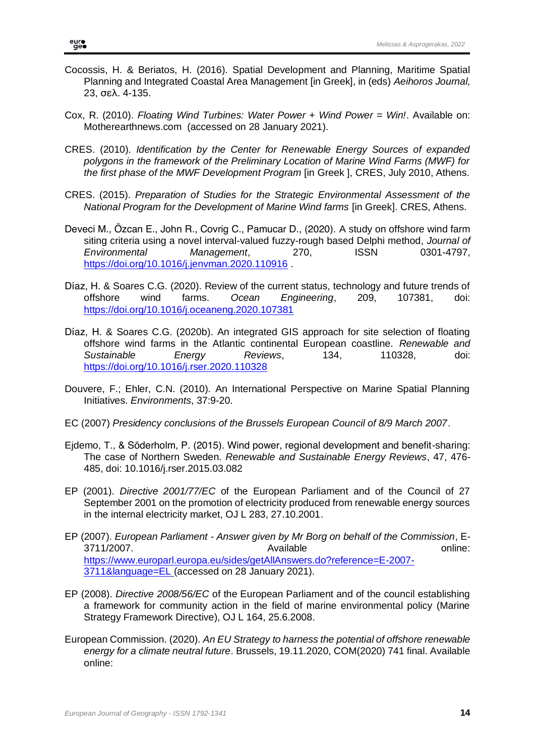- Cocossis, H. & Beriatos, H. (2016). Spatial Development and Planning, Maritime Spatial Planning and Integrated Coastal Area Management [in Greek], in (eds) *Aeihoros Journal,* 23, σελ. 4-135.
- Cox, R. (2010). *Floating Wind Turbines: Water Power + Wind Power = Win!*. Available on: Motherearthnews.com (accessed on 28 January 2021).
- CRES. (2010). *Identification by the Center for Renewable Energy Sources of expanded polygons in the framework of the Preliminary Location of Marine Wind Farms (MWF) for the first phase of the MWF Development Program* [in Greek ], CRES, July 2010, Athens.
- CRES. (2015). *Preparation of Studies for the Strategic Environmental Assessment of the National Program for the Development of Marine Wind farms* [in Greek]. CRES, Athens.
- Deveci M., Özcan E., John R., Covrig C., Pamucar D., (2020). A study on offshore wind farm siting criteria using a novel interval-valued fuzzy-rough based Delphi method, *Journal of Environmental Management*, 270, ISSN 0301-4797, <https://doi.org/10.1016/j.jenvman.2020.110916> .
- Díaz, H. & Soares C.G. (2020). Review of the current status, technology and future trends of offshore wind farms. *Ocean Engineering*, 209, 107381, doi: <https://doi.org/10.1016/j.oceaneng.2020.107381>
- Díaz, H. & Soares C.G. (2020b). An integrated GIS approach for site selection of floating offshore wind farms in the Atlantic continental European coastline. *Renewable and Sustainable Energy Reviews*, 134, 110328, doi: <https://doi.org/10.1016/j.rser.2020.110328>
- Douvere, F.; Ehler, C.N. (2010). An International Perspective on Marine Spatial Planning Initiatives. *Environments*, 37:9-20.
- EC (2007) *Presidency conclusions of the Brussels European Council of 8/9 March 2007*.
- Ejdemo, T., & Söderholm, P. (2015). Wind power, regional development and benefit-sharing: The case of Northern Sweden. *Renewable and Sustainable Energy Reviews*, 47, 476- 485, doi: 10.1016/j.rser.2015.03.082
- EP (2001). *Directive 2001/77/EC* of the European Parliament and of the Council of 27 September 2001 on the promotion of electricity produced from renewable energy sources in the internal electricity market, OJ L 283, 27.10.2001.
- EP (2007). *European Parliament - Answer given by Mr Borg on behalf of the Commission*, E-3711/2007. Contract online: Available online: the online: the online: the online: the online: the online: the online: the online: the online: the online: the online: the online: the online: the online: the online: the onli [https://www.europarl.europa.eu/sides/getAllAnswers.do?reference=E-2007-](https://www.europarl.europa.eu/sides/getAllAnswers.do?reference=E-2007-3711&language=EL) [3711&language=EL](https://www.europarl.europa.eu/sides/getAllAnswers.do?reference=E-2007-3711&language=EL) (accessed on 28 January 2021).
- EP (2008). *Directive 2008/56/EC* of the European Parliament and of the council establishing a framework for community action in the field of marine environmental policy (Marine Strategy Framework Directive), OJ L 164, 25.6.2008.
- European Commission. (2020). *An EU Strategy to harness the potential of offshore renewable energy for a climate neutral future*. Brussels, 19.11.2020, COM(2020) 741 final. Available online: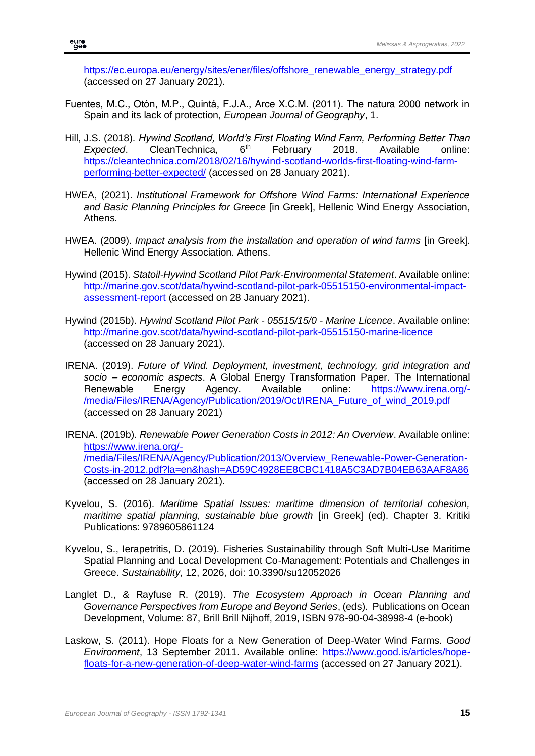[https://ec.europa.eu/energy/sites/ener/files/offshore\\_renewable\\_energy\\_strategy.pdf](https://ec.europa.eu/energy/sites/ener/files/offshore_renewable_energy_strategy.pdf) (accessed on 27 January 2021).

- Fuentes, M.C., Otón, M.P., Quintá, F.J.A., Arce X.C.M. (2011). The natura 2000 network in Spain and its lack of protection*, European Journal of Geography*, 1.
- Hill, J.S. (2018). *Hywind Scotland, World's First Floating Wind Farm, Performing Better Than Expected.* CleanTechnica, 6<sup>th</sup> February 2018. Available online: [https://cleantechnica.com/2018/02/16/hywind-scotland-worlds-first-floating-wind-farm](https://cleantechnica.com/2018/02/16/hywind-scotland-worlds-first-floating-wind-farm-performing-better-expected/)[performing-better-expected/](https://cleantechnica.com/2018/02/16/hywind-scotland-worlds-first-floating-wind-farm-performing-better-expected/) (accessed on 28 January 2021).
- HWEA, (2021). *Institutional Framework for Offshore Wind Farms: International Experience and Basic Planning Principles for Greece* [in Greek], Hellenic Wind Energy Association, Athens.
- HWEA. (2009). *Impact analysis from the installation and operation of wind farms* [in Greek]. Hellenic Wind Energy Association. Athens.
- Hywind (2015). *Statoil-Hywind Scotland Pilot Park-Environmental Statement*. Available online: [http://marine.gov.scot/data/hywind-scotland-pilot-park-05515150-environmental-impact](http://marine.gov.scot/data/hywind-scotland-pilot-park-05515150-environmental-impact-assessment-report)[assessment-report](http://marine.gov.scot/data/hywind-scotland-pilot-park-05515150-environmental-impact-assessment-report) (accessed on 28 January 2021).
- Hywind (2015b). *Hywind Scotland Pilot Park - 05515/15/0 - Marine Licence*. Available online: <http://marine.gov.scot/data/hywind-scotland-pilot-park-05515150-marine-licence> (accessed on 28 January 2021).
- IRENA. (2019). *Future of Wind. Deployment, investment, technology, grid integration and socio – economic aspects*. A Global Energy Transformation Paper. The International Renewable Energy Agency. Αvailable online: [https://www.irena.org/-](https://www.irena.org/-/media/Files/IRENA/Agency/Publication/2019/Oct/IRENA_Future_of_wind_2019.pdf) [/media/Files/IRENA/Agency/Publication/2019/Oct/IRENA\\_Future\\_of\\_wind\\_2019.pdf](https://www.irena.org/-/media/Files/IRENA/Agency/Publication/2019/Oct/IRENA_Future_of_wind_2019.pdf) (accessed on 28 January 2021)
- IRENA. (2019b). *Renewable Power Generation Costs in 2012: An Overview*. Available online: [https://www.irena.org/-](https://www.irena.org/-/media/Files/IRENA/Agency/Publication/2013/Overview_Renewable-Power-Generation-Costs-in-2012.pdf?la=en&hash=AD59C4928EE8CBC1418A5C3AD7B04EB63AAF8A86) [/media/Files/IRENA/Agency/Publication/2013/Overview\\_Renewable-Power-Generation-](https://www.irena.org/-/media/Files/IRENA/Agency/Publication/2013/Overview_Renewable-Power-Generation-Costs-in-2012.pdf?la=en&hash=AD59C4928EE8CBC1418A5C3AD7B04EB63AAF8A86)[Costs-in-2012.pdf?la=en&hash=AD59C4928EE8CBC1418A5C3AD7B04EB63AAF8A86](https://www.irena.org/-/media/Files/IRENA/Agency/Publication/2013/Overview_Renewable-Power-Generation-Costs-in-2012.pdf?la=en&hash=AD59C4928EE8CBC1418A5C3AD7B04EB63AAF8A86) (accessed on 28 January 2021).
- Kyvelou, S. (2016). *Maritime Spatial Issues: maritime dimension of territorial cohesion, maritime spatial planning, sustainable blue growth* [in Greek] (ed). Chapter 3. Kritiki Publications: 9789605861124
- Kyvelou, S., Ierapetritis, D. (2019). Fisheries Sustainability through Soft Multi-Use Maritime Spatial Planning and Local Development Co-Management: Potentials and Challenges in Greece. *Sustainability*, 12, 2026, doi: 10.3390/su12052026
- Langlet D., & Rayfuse R. (2019). *The Ecosystem Approach in Ocean Planning and Governance Perspectives from Europe and Beyond Series*, (eds). Publications on Ocean Development, Volume: 87, Brill Brill Nijhoff, 2019, ISBN 978-90-04-38998-4 (e-book)
- Laskow, S. (2011). Hope Floats for a New Generation of Deep-Water Wind Farms. *Good Environment*, 13 September 2011. Available online: [https://www.good.is/articles/hope](https://www.good.is/articles/hope-floats-for-a-new-generation-of-deep-water-wind-farms)[floats-for-a-new-generation-of-deep-water-wind-farms](https://www.good.is/articles/hope-floats-for-a-new-generation-of-deep-water-wind-farms) (accessed on 27 January 2021).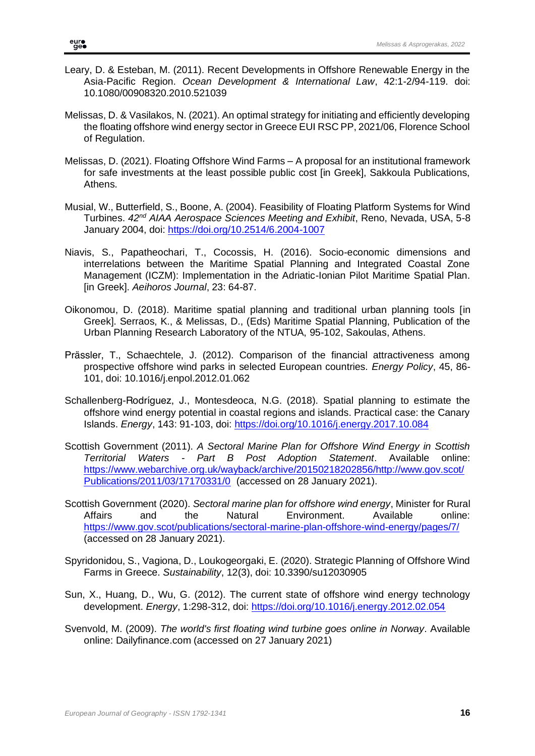- Leary, D. & Esteban, M. (2011). Recent Developments in Offshore Renewable Energy in the Asia-Pacific Region. *Ocean Development & International Law*, 42:1-2/94-119. doi: 10.1080/00908320.2010.521039
- Melissas, D. & Vasilakos, N. (2021). An optimal strategy for initiating and efficiently developing the floating offshore wind energy sector in Greece EUI RSC PP, 2021/06, Florence School of Regulation.
- Melissas, D. (2021). Floating Offshore Wind Farms A proposal for an institutional framework for safe investments at the least possible public cost [in Greek], Sakkoula Publications, Athens.
- Musial, W., Butterfield, S., Boone, A. (2004). Feasibility of Floating Platform Systems for Wind Turbines. *42nd AIAA Aerospace Sciences Meeting and Exhibit*, Reno, Nevada, USA, 5-8 January 2004, doi:<https://doi.org/10.2514/6.2004-1007>
- Niavis, S., Papatheochari, T., Cocossis, H. (2016). Socio-economic dimensions and interrelations between the Maritime Spatial Planning and Integrated Coastal Zone Management (ICZM): Implementation in the Adriatic-Ionian Pilot Maritime Spatial Plan. [in Greek]. *Aeihoros Journal*, 23: 64-87.
- Oikonomou, D. (2018). Maritime spatial planning and traditional urban planning tools [in Greek]. Serraos, K., & Melissas, D., (Eds) Maritime Spatial Planning, Publication of the Urban Planning Research Laboratory of the NTUA, 95-102, Sakoulas, Athens.
- Prässler, T., Schaechtele, J. (2012). Comparison of the financial attractiveness among prospective offshore wind parks in selected European countries. *Energy Policy*, 45, 86- 101, doi: 10.1016/j.enpol.2012.01.062
- Schallenberg-Rodríguez, J., Montesdeoca, N.G. (2018). Spatial planning to estimate the offshore wind energy potential in coastal regions and islands. Practical case: the Canary Islands. *Energy*, 143: 91-103, doi:<https://doi.org/10.1016/j.energy.2017.10.084>
- Scottish Government (2011). *A Sectoral Marine Plan for Offshore Wind Energy in Scottish Territorial Waters - Part B Post Adoption Statement*. Available online: [https://www.webarchive.org.uk/wayback/archive/20150218202856/http://www.gov.scot/](https://www.webarchive.org.uk/wayback/archive/20150218202856/http:/www.gov.scot/Publications/2011/03/17170331/0) [Publications/2011/03/17170331/0](https://www.webarchive.org.uk/wayback/archive/20150218202856/http:/www.gov.scot/Publications/2011/03/17170331/0) (accessed on 28 January 2021).
- Scottish Government (2020). *Sectoral marine plan for offshore wind energy*, Minister for Rural Affairs and the Natural Environment. Available online: <https://www.gov.scot/publications/sectoral-marine-plan-offshore-wind-energy/pages/7/> (accessed on 28 January 2021).
- Spyridonidou, S., Vagiona, D., Loukogeorgaki, E. (2020). Strategic Planning of Offshore Wind Farms in Greece. *Sustainability*, 12(3), doi: 10.3390/su12030905
- Sun, X., Huang, D., Wu, G. (2012). The current state of offshore wind energy technology development. *Energy*, 1:298-312, doi:<https://doi.org/10.1016/j.energy.2012.02.054>
- Svenvold, M. (2009). *The world's first floating wind turbine goes online in Norway*. Available online: Dailyfinance.com (accessed on 27 January 2021)